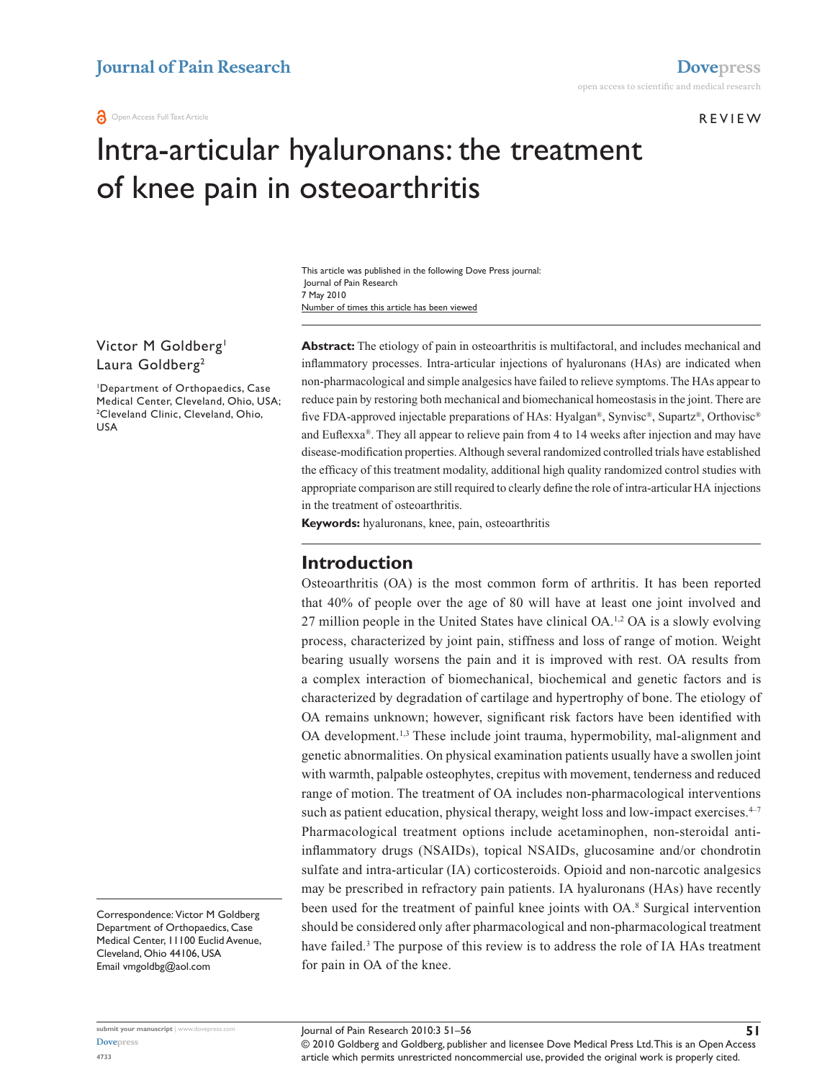Review

# Intra-articular hyaluronans: the treatment of knee pain in osteoarthritis

Number of times this article has been viewed This article was published in the following Dove Press journal: Journal of Pain Research 7 May 2010

### Victor M Goldberg<sup>1</sup> Laura Goldberg<sup>2</sup>

1 Department of Orthopaedics, Case Medical Center, Cleveland, Ohio, USA; 2 Cleveland Clinic, Cleveland, Ohio, USA

Correspondence: Victor M Goldberg Department of Orthopaedics, Case Medical Center, 11100 Euclid Avenue, Cleveland, Ohio 44106, USA Email vmgoldbg@aol.com

**Abstract:** The etiology of pain in osteoarthritis is multifactoral, and includes mechanical and inflammatory processes. Intra-articular injections of hyaluronans (HAs) are indicated when non-pharmacological and simple analgesics have failed to relieve symptoms. The HAs appear to reduce pain by restoring both mechanical and biomechanical homeostasis in the joint. There are five FDA-approved injectable preparations of HAs: Hyalgan®, Synvisc®, Supartz®, Orthovisc® and Euflexxa®. They all appear to relieve pain from 4 to 14 weeks after injection and may have disease-modification properties. Although several randomized controlled trials have established the efficacy of this treatment modality, additional high quality randomized control studies with appropriate comparison are still required to clearly define the role of intra-articular HA injections in the treatment of osteoarthritis.

**Keywords:** hyaluronans, knee, pain, osteoarthritis

### **Introduction**

Osteoarthritis (OA) is the most common form of arthritis. It has been reported that 40% of people over the age of 80 will have at least one joint involved and 27 million people in the United States have clinical OA.1,2 OA is a slowly evolving process, characterized by joint pain, stiffness and loss of range of motion. Weight bearing usually worsens the pain and it is improved with rest. OA results from a complex interaction of biomechanical, biochemical and genetic factors and is characterized by degradation of cartilage and hypertrophy of bone. The etiology of OA remains unknown; however, significant risk factors have been identified with OA development.<sup>1,3</sup> These include joint trauma, hypermobility, mal-alignment and genetic abnormalities. On physical examination patients usually have a swollen joint with warmth, palpable osteophytes, crepitus with movement, tenderness and reduced range of motion. The treatment of OA includes non-pharmacological interventions such as patient education, physical therapy, weight loss and low-impact exercises.<sup>4-7</sup> Pharmacological treatment options include acetaminophen, non-steroidal antiinflammatory drugs (NSAIDs), topical NSAIDs, glucosamine and/or chondrotin sulfate and intra-articular (IA) corticosteroids. Opioid and non-narcotic analgesics may be prescribed in refractory pain patients. IA hyaluronans (HAs) have recently been used for the treatment of painful knee joints with OA.<sup>8</sup> Surgical intervention should be considered only after pharmacological and non-pharmacological treatment have failed.<sup>3</sup> The purpose of this review is to address the role of IA HAs treatment for pain in OA of the knee.

article which permits unrestricted noncommercial use, provided the original work is properly cited.

© 2010 Goldberg and Goldberg, publisher and licensee Dove Medical Press Ltd. This is an Open Access Journal of Pain Research 2010:3 51–56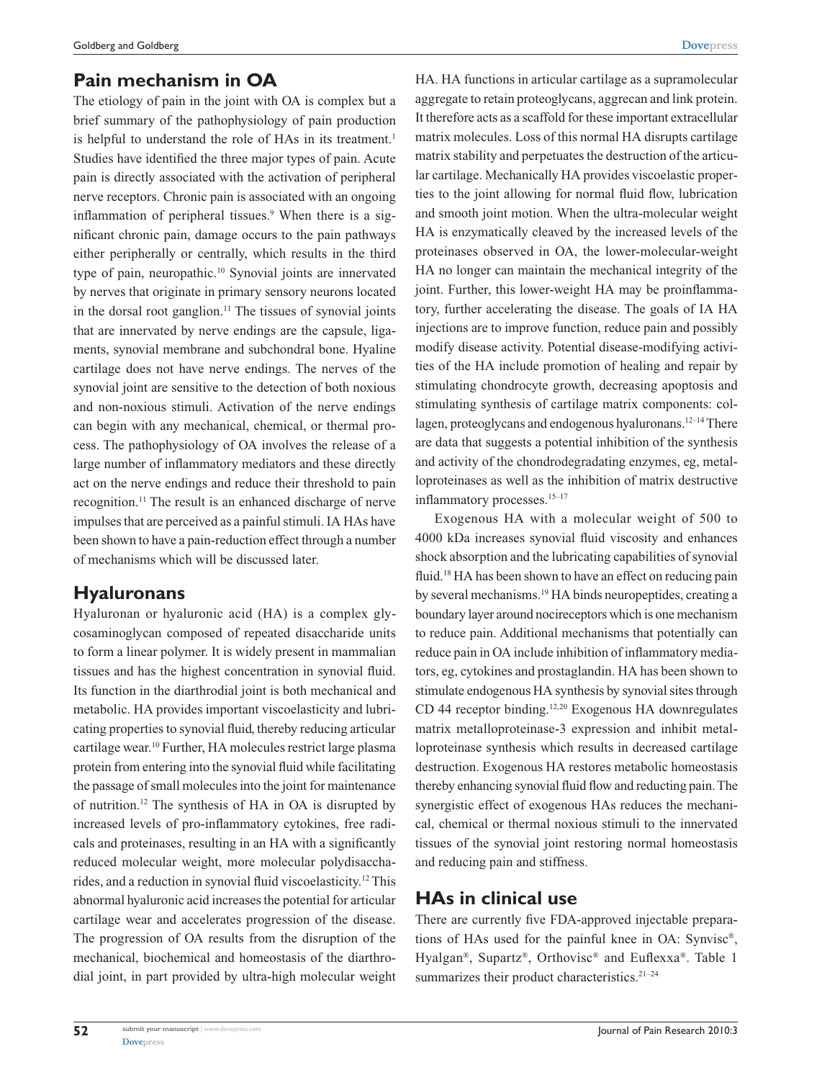# **Pain mechanism in OA**

The etiology of pain in the joint with OA is complex but a brief summary of the pathophysiology of pain production is helpful to understand the role of HAs in its treatment.<sup>1</sup> Studies have identified the three major types of pain. Acute pain is directly associated with the activation of peripheral nerve receptors. Chronic pain is associated with an ongoing inflammation of peripheral tissues.<sup>9</sup> When there is a significant chronic pain, damage occurs to the pain pathways either peripherally or centrally, which results in the third type of pain, neuropathic.10 Synovial joints are innervated by nerves that originate in primary sensory neurons located in the dorsal root ganglion.<sup>11</sup> The tissues of synovial joints that are innervated by nerve endings are the capsule, ligaments, synovial membrane and subchondral bone. Hyaline cartilage does not have nerve endings. The nerves of the synovial joint are sensitive to the detection of both noxious and non-noxious stimuli. Activation of the nerve endings can begin with any mechanical, chemical, or thermal process. The pathophysiology of OA involves the release of a large number of inflammatory mediators and these directly act on the nerve endings and reduce their threshold to pain recognition.11 The result is an enhanced discharge of nerve impulses that are perceived as a painful stimuli. IA HAs have been shown to have a pain-reduction effect through a number of mechanisms which will be discussed later.

# **Hyaluronans**

Hyaluronan or hyaluronic acid (HA) is a complex glycosaminoglycan composed of repeated disaccharide units to form a linear polymer. It is widely present in mammalian tissues and has the highest concentration in synovial fluid. Its function in the diarthrodial joint is both mechanical and metabolic. HA provides important viscoelasticity and lubricating properties to synovial fluid, thereby reducing articular cartilage wear.10 Further, HA molecules restrict large plasma protein from entering into the synovial fluid while facilitating the passage of small molecules into the joint for maintenance of nutrition.12 The synthesis of HA in OA is disrupted by increased levels of pro-inflammatory cytokines, free radicals and proteinases, resulting in an HA with a significantly reduced molecular weight, more molecular polydisaccharides, and a reduction in synovial fluid viscoelasticity.12 This abnormal hyaluronic acid increases the potential for articular cartilage wear and accelerates progression of the disease. The progression of OA results from the disruption of the mechanical, biochemical and homeostasis of the diarthrodial joint, in part provided by ultra-high molecular weight HA. HA functions in articular cartilage as a supramolecular aggregate to retain proteoglycans, aggrecan and link protein. It therefore acts as a scaffold for these important extracellular matrix molecules. Loss of this normal HA disrupts cartilage matrix stability and perpetuates the destruction of the articular cartilage. Mechanically HA provides viscoelastic properties to the joint allowing for normal fluid flow, lubrication and smooth joint motion. When the ultra-molecular weight HA is enzymatically cleaved by the increased levels of the proteinases observed in OA, the lower-molecular-weight HA no longer can maintain the mechanical integrity of the joint. Further, this lower-weight HA may be proinflammatory, further accelerating the disease. The goals of IA HA injections are to improve function, reduce pain and possibly modify disease activity. Potential disease-modifying activities of the HA include promotion of healing and repair by stimulating chondrocyte growth, decreasing apoptosis and stimulating synthesis of cartilage matrix components: collagen, proteoglycans and endogenous hyaluronans.<sup>12–14</sup> There are data that suggests a potential inhibition of the synthesis and activity of the chondrodegradating enzymes, eg, metalloproteinases as well as the inhibition of matrix destructive inflammatory processes.<sup>15-17</sup>

Exogenous HA with a molecular weight of 500 to 4000 kDa increases synovial fluid viscosity and enhances shock absorption and the lubricating capabilities of synovial fluid.<sup>18</sup> HA has been shown to have an effect on reducing pain by several mechanisms.19 HA binds neuropeptides, creating a boundary layer around nocireceptors which is one mechanism to reduce pain. Additional mechanisms that potentially can reduce pain in OA include inhibition of inflammatory mediators, eg, cytokines and prostaglandin. HA has been shown to stimulate endogenous HA synthesis by synovial sites through CD 44 receptor binding.<sup>12,20</sup> Exogenous HA downregulates matrix metalloproteinase-3 expression and inhibit metalloproteinase synthesis which results in decreased cartilage destruction. Exogenous HA restores metabolic homeostasis thereby enhancing synovial fluid flow and reducting pain. The synergistic effect of exogenous HAs reduces the mechanical, chemical or thermal noxious stimuli to the innervated tissues of the synovial joint restoring normal homeostasis and reducing pain and stiffness.

# **HAs in clinical use**

There are currently five FDA-approved injectable preparations of HAs used for the painful knee in OA: Synvisc®, Hyalgan®, Supartz®, Orthovisc® and Euflexxa®. Table 1 summarizes their product characteristics.<sup>21-24</sup>

**52**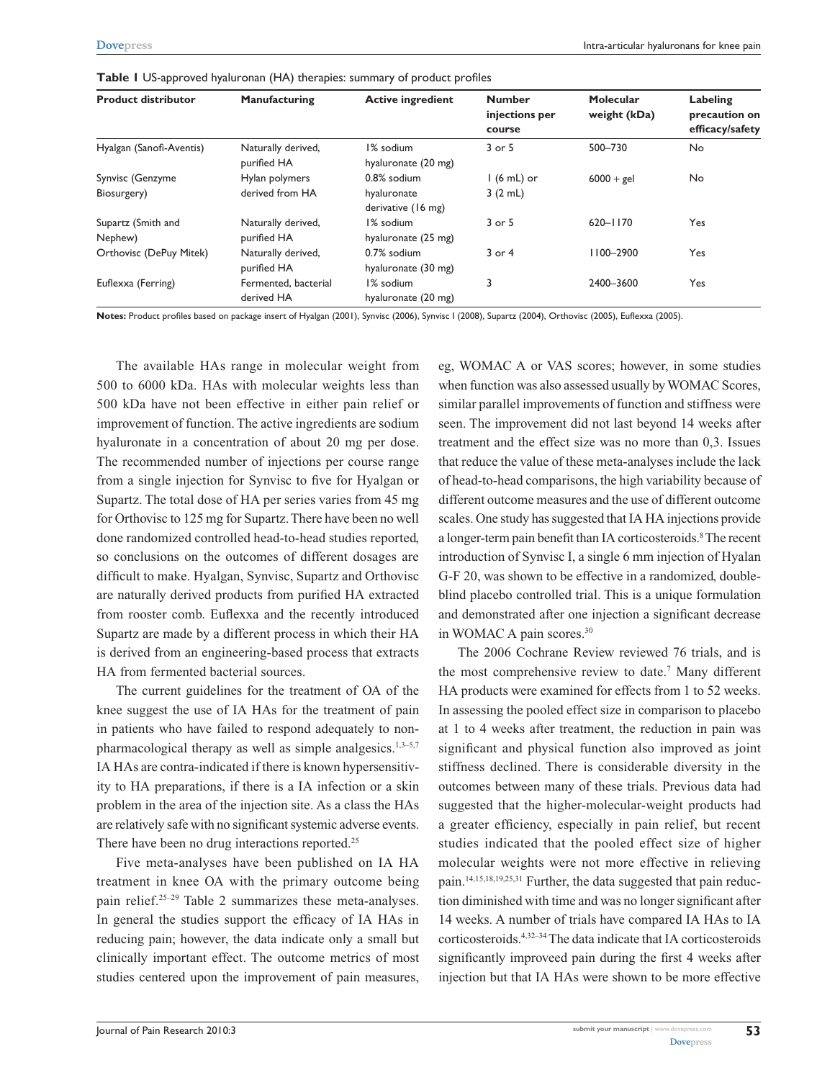| <b>Product distributor</b>      | Manufacturing                      | <b>Active ingredient</b>                         | <b>Number</b><br>injections per<br>course | Molecular<br>weight (kDa) | Labeling<br>precaution on<br>efficacy/safety |
|---------------------------------|------------------------------------|--------------------------------------------------|-------------------------------------------|---------------------------|----------------------------------------------|
| Hyalgan (Sanofi-Aventis)        | Naturally derived,<br>purified HA  | I% sodium<br>hyaluronate (20 mg)                 | 3 or 5                                    | 500-730                   | <b>No</b>                                    |
| Synvisc (Genzyme<br>Biosurgery) | Hylan polymers<br>derived from HA  | 0.8% sodium<br>hyaluronate<br>derivative (16 mg) | $1(6 mL)$ or<br>3(2 mL)                   | $6000 + gel$              | No                                           |
| Supartz (Smith and<br>Nephew)   | Naturally derived,<br>purified HA  | I% sodium<br>hyaluronate (25 mg)                 | 3 or 5                                    | $620 - 1170$              | Yes                                          |
| Orthovisc (DePuy Mitek)         | Naturally derived,<br>purified HA  | 0.7% sodium<br>hyaluronate (30 mg)               | $3$ or $4$                                | 1100-2900                 | Yes                                          |
| Euflexxa (Ferring)              | Fermented, bacterial<br>derived HA | I% sodium<br>hyaluronate (20 mg)                 | 3                                         | 2400-3600                 | Yes                                          |

**Table 1** US-approved hyaluronan (HA) therapies: summary of product profiles

**Notes:** Product profiles based on package insert of Hyalgan (2001), Synvisc (2006), Synvisc I (2008), Supartz (2004), Orthovisc (2005), Euflexxa (2005).

The available HAs range in molecular weight from 500 to 6000 kDa. HAs with molecular weights less than 500 kDa have not been effective in either pain relief or improvement of function. The active ingredients are sodium hyaluronate in a concentration of about 20 mg per dose. The recommended number of injections per course range from a single injection for Synvisc to five for Hyalgan or Supartz. The total dose of HA per series varies from 45 mg for Orthovisc to 125 mg for Supartz. There have been no well done randomized controlled head-to-head studies reported, so conclusions on the outcomes of different dosages are difficult to make. Hyalgan, Synvisc, Supartz and Orthovisc are naturally derived products from purified HA extracted from rooster comb. Euflexxa and the recently introduced Supartz are made by a different process in which their HA is derived from an engineering-based process that extracts HA from fermented bacterial sources.

The current guidelines for the treatment of OA of the knee suggest the use of IA HAs for the treatment of pain in patients who have failed to respond adequately to nonpharmacological therapy as well as simple analgesics.<sup>1,3–5,7</sup> IA HAs are contra-indicated if there is known hypersensitivity to HA preparations, if there is a IA infection or a skin problem in the area of the injection site. As a class the HAs are relatively safe with no significant systemic adverse events. There have been no drug interactions reported.<sup>25</sup>

Five meta-analyses have been published on IA HA treatment in knee OA with the primary outcome being pain relief.25–29 Table 2 summarizes these meta-analyses. In general the studies support the efficacy of IA HAs in reducing pain; however, the data indicate only a small but clinically important effect. The outcome metrics of most studies centered upon the improvement of pain measures,

eg, WOMAC A or VAS scores; however, in some studies when function was also assessed usually by WOMAC Scores, similar parallel improvements of function and stiffness were seen. The improvement did not last beyond 14 weeks after treatment and the effect size was no more than 0,3. Issues that reduce the value of these meta-analyses include the lack of head-to-head comparisons, the high variability because of different outcome measures and the use of different outcome scales. One study has suggested that IA HA injections provide a longer-term pain benefit than IA corticosteroids.<sup>8</sup> The recent introduction of Synvisc I, a single 6 mm injection of Hyalan G-F 20, was shown to be effective in a randomized, doubleblind placebo controlled trial. This is a unique formulation and demonstrated after one injection a significant decrease in WOMAC A pain scores.30

The 2006 Cochrane Review reviewed 76 trials, and is the most comprehensive review to date.<sup>7</sup> Many different HA products were examined for effects from 1 to 52 weeks. In assessing the pooled effect size in comparison to placebo at 1 to 4 weeks after treatment, the reduction in pain was significant and physical function also improved as joint stiffness declined. There is considerable diversity in the outcomes between many of these trials. Previous data had suggested that the higher-molecular-weight products had a greater efficiency, especially in pain relief, but recent studies indicated that the pooled effect size of higher molecular weights were not more effective in relieving pain.14,15,18,19,25,31 Further, the data suggested that pain reduction diminished with time and was no longer significant after 14 weeks. A number of trials have compared IA HAs to IA corticosteroids.4,32–34 The data indicate that IA corticosteroids significantly improveed pain during the first 4 weeks after injection but that IA HAs were shown to be more effective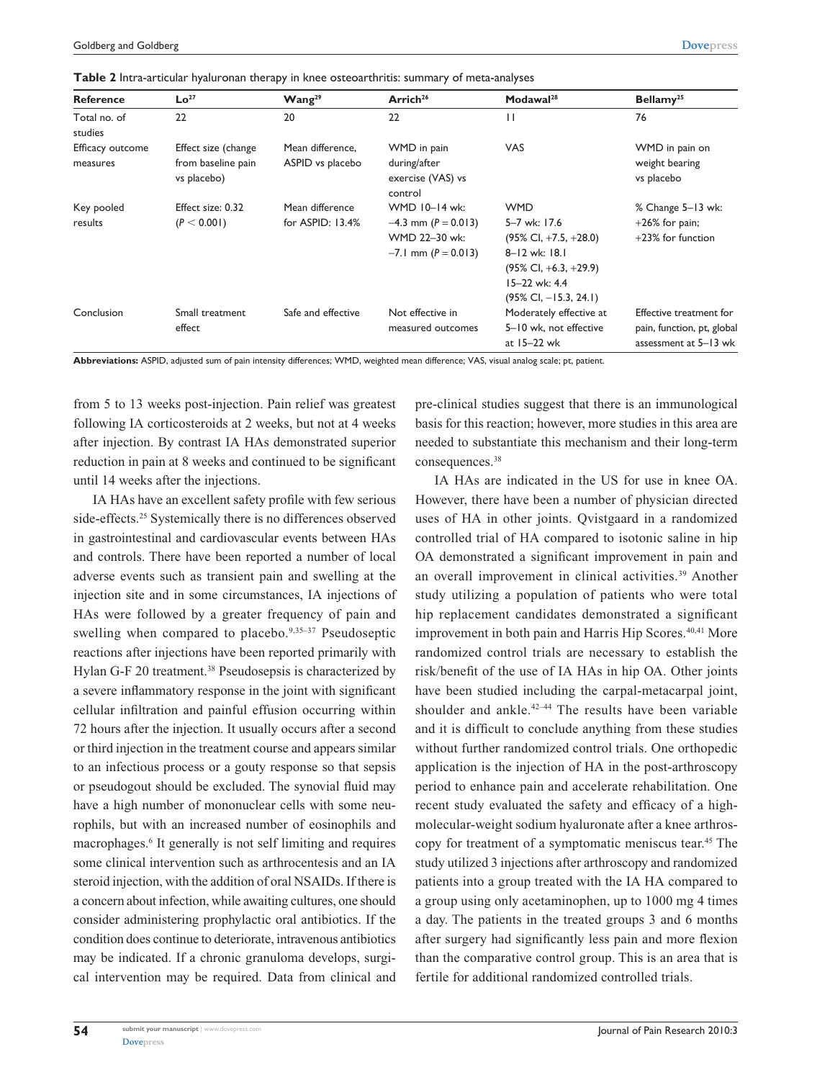**Table 2** Intra-articular hyaluronan therapy in knee osteoarthritis: summary of meta-analyses

| <b>Reference</b>             | Lo <sup>27</sup>                                         | Wang <sup>29</sup>                   | Arrich <sup>26</sup>                                                                 | Modawal <sup>28</sup>                                                                                                                                                  | Bellamy <sup>25</sup>                                                          |
|------------------------------|----------------------------------------------------------|--------------------------------------|--------------------------------------------------------------------------------------|------------------------------------------------------------------------------------------------------------------------------------------------------------------------|--------------------------------------------------------------------------------|
| Total no. of<br>studies      | 22                                                       | 20                                   | 22                                                                                   | П                                                                                                                                                                      | 76                                                                             |
| Efficacy outcome<br>measures | Effect size (change<br>from baseline pain<br>vs placebo) | Mean difference,<br>ASPID vs placebo | WMD in pain<br>during/after<br>exercise (VAS) vs<br>control                          | <b>VAS</b>                                                                                                                                                             | WMD in pain on<br>weight bearing<br>vs placebo                                 |
| Key pooled<br>results        | Effect size: 0.32<br>(P < 0.001)                         | Mean difference<br>for ASPID: 13.4%  | WMD 10-14 wk:<br>$-4.3$ mm (P = 0.013)<br>WMD 22-30 wk:<br>$-7.1$ mm ( $P = 0.013$ ) | <b>WMD</b><br>5-7 wk: 17.6<br>$(95\%$ Cl, $+7.5$ , $+28.0$ )<br>8-12 wk: 18.1<br>$(95\% \text{ Cl}, +6.3, +29.9)$<br>15-22 wk: 4.4<br>$(95\% \text{ Cl}, -15.3, 24.1)$ | % Change 5-13 wk:<br>$+26\%$ for pain;<br>$+23\%$ for function                 |
| Conclusion                   | Small treatment<br>effect                                | Safe and effective                   | Not effective in<br>measured outcomes                                                | Moderately effective at<br>5-10 wk, not effective<br>at 15-22 wk                                                                                                       | Effective treatment for<br>pain, function, pt, global<br>assessment at 5-13 wk |

**Abbreviations:** ASPID, adjusted sum of pain intensity differences; WMD, weighted mean difference; VAS, visual analog scale; pt, patient.

from 5 to 13 weeks post-injection. Pain relief was greatest following IA corticosteroids at 2 weeks, but not at 4 weeks after injection. By contrast IA HAs demonstrated superior reduction in pain at 8 weeks and continued to be significant until 14 weeks after the injections.

IA HAs have an excellent safety profile with few serious side-effects.<sup>25</sup> Systemically there is no differences observed in gastrointestinal and cardiovascular events between HAs and controls. There have been reported a number of local adverse events such as transient pain and swelling at the injection site and in some circumstances, IA injections of HAs were followed by a greater frequency of pain and swelling when compared to placebo.<sup>9,35-37</sup> Pseudoseptic reactions after injections have been reported primarily with Hylan G-F 20 treatment.<sup>38</sup> Pseudosepsis is characterized by a severe inflammatory response in the joint with significant cellular infiltration and painful effusion occurring within 72 hours after the injection. It usually occurs after a second or third injection in the treatment course and appears similar to an infectious process or a gouty response so that sepsis or pseudogout should be excluded. The synovial fluid may have a high number of mononuclear cells with some neurophils, but with an increased number of eosinophils and macrophages.6 It generally is not self limiting and requires some clinical intervention such as arthrocentesis and an IA steroid injection, with the addition of oral NSAIDs. If there is a concern about infection, while awaiting cultures, one should consider administering prophylactic oral antibiotics. If the condition does continue to deteriorate, intravenous antibiotics may be indicated. If a chronic granuloma develops, surgical intervention may be required. Data from clinical and

pre-clinical studies suggest that there is an immunological basis for this reaction; however, more studies in this area are needed to substantiate this mechanism and their long-term consequences.38

IA HAs are indicated in the US for use in knee OA. However, there have been a number of physician directed uses of HA in other joints. Qvistgaard in a randomized controlled trial of HA compared to isotonic saline in hip OA demonstrated a significant improvement in pain and an overall improvement in clinical activities.<sup>39</sup> Another study utilizing a population of patients who were total hip replacement candidates demonstrated a significant improvement in both pain and Harris Hip Scores.<sup>40,41</sup> More randomized control trials are necessary to establish the risk/benefit of the use of IA HAs in hip OA. Other joints have been studied including the carpal-metacarpal joint, shoulder and ankle.<sup>42–44</sup> The results have been variable and it is difficult to conclude anything from these studies without further randomized control trials. One orthopedic application is the injection of HA in the post-arthroscopy period to enhance pain and accelerate rehabilitation. One recent study evaluated the safety and efficacy of a highmolecular-weight sodium hyaluronate after a knee arthroscopy for treatment of a symptomatic meniscus tear.45 The study utilized 3 injections after arthroscopy and randomized patients into a group treated with the IA HA compared to a group using only acetaminophen, up to 1000 mg 4 times a day. The patients in the treated groups 3 and 6 months after surgery had significantly less pain and more flexion than the comparative control group. This is an area that is fertile for additional randomized controlled trials.

**54**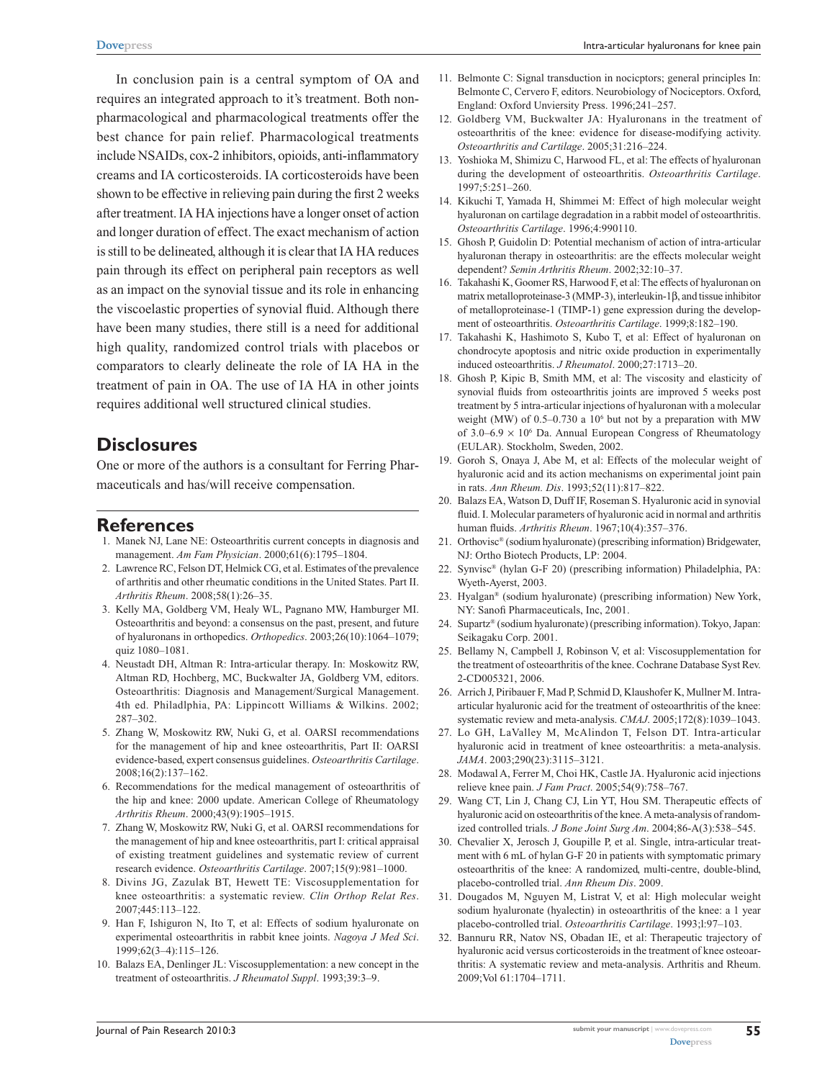In conclusion pain is a central symptom of OA and requires an integrated approach to it's treatment. Both nonpharmacological and pharmacological treatments offer the best chance for pain relief. Pharmacological treatments include NSAIDs, cox-2 inhibitors, opioids, anti-inflammatory creams and IA corticosteroids. IA corticosteroids have been shown to be effective in relieving pain during the first 2 weeks after treatment. IA HA injections have a longer onset of action and longer duration of effect. The exact mechanism of action is still to be delineated, although it is clear that IA HA reduces pain through its effect on peripheral pain receptors as well as an impact on the synovial tissue and its role in enhancing the viscoelastic properties of synovial fluid. Although there have been many studies, there still is a need for additional high quality, randomized control trials with placebos or comparators to clearly delineate the role of IA HA in the treatment of pain in OA. The use of IA HA in other joints requires additional well structured clinical studies.

# **Disclosures**

One or more of the authors is a consultant for Ferring Pharmaceuticals and has/will receive compensation.

#### **References**

- 1. Manek NJ, Lane NE: Osteoarthritis current concepts in diagnosis and management. *Am Fam Physician*. 2000;61(6):1795–1804.
- 2. Lawrence RC, Felson DT, Helmick CG, et al. Estimates of the prevalence of arthritis and other rheumatic conditions in the United States. Part II. *Arthritis Rheum*. 2008;58(1):26–35.
- 3. Kelly MA, Goldberg VM, Healy WL, Pagnano MW, Hamburger MI. Osteoarthritis and beyond: a consensus on the past, present, and future of hyaluronans in orthopedics. *Orthopedics*. 2003;26(10):1064–1079; quiz 1080–1081.
- 4. Neustadt DH, Altman R: Intra-articular therapy. In: Moskowitz RW, Altman RD, Hochberg, MC, Buckwalter JA, Goldberg VM, editors. Osteoarthritis: Diagnosis and Management/Surgical Management. 4th ed. Philadlphia, PA: Lippincott Williams & Wilkins. 2002; 287–302.
- 5. Zhang W, Moskowitz RW, Nuki G, et al. OARSI recommendations for the management of hip and knee osteoarthritis, Part II: OARSI evidence-based, expert consensus guidelines. *Osteoarthritis Cartilage*. 2008;16(2):137–162.
- 6. Recommendations for the medical management of osteoarthritis of the hip and knee: 2000 update. American College of Rheumatology *Arthritis Rheum*. 2000;43(9):1905–1915.
- 7. Zhang W, Moskowitz RW, Nuki G, et al. OARSI recommendations for the management of hip and knee osteoarthritis, part I: critical appraisal of existing treatment guidelines and systematic review of current research evidence. *Osteoarthritis Cartilage*. 2007;15(9):981–1000.
- 8. Divins JG, Zazulak BT, Hewett TE: Viscosupplementation for knee osteoarthritis: a systematic review. *Clin Orthop Relat Res*. 2007;445:113–122.
- 9. Han F, Ishiguron N, Ito T, et al: Effects of sodium hyaluronate on experimental osteoarthritis in rabbit knee joints. *Nagoya J Med Sci*. 1999;62(3–4):115–126.
- 10. Balazs EA, Denlinger JL: Viscosupplementation: a new concept in the treatment of osteoarthritis. *J Rheumatol Suppl*. 1993;39:3–9.
- 11. Belmonte C: Signal transduction in nocicptors; general principles In: Belmonte C, Cervero F, editors. Neurobiology of Nociceptors. Oxford, England: Oxford Unviersity Press. 1996;241–257.
- 12. Goldberg VM, Buckwalter JA: Hyaluronans in the treatment of osteoarthritis of the knee: evidence for disease-modifying activity. *Osteoarthritis and Cartilage*. 2005;31:216–224.
- 13. Yoshioka M, Shimizu C, Harwood FL, et al: The effects of hyaluronan during the development of osteoarthritis. *Osteoarthritis Cartilage*. 1997;5:251–260.
- 14. Kikuchi T, Yamada H, Shimmei M: Effect of high molecular weight hyaluronan on cartilage degradation in a rabbit model of osteoarthritis. *Osteoarthritis Cartilage*. 1996;4:990110.
- 15. Ghosh P, Guidolin D: Potential mechanism of action of intra-articular hyaluronan therapy in osteoarthritis: are the effects molecular weight dependent? *Semin Arthritis Rheum*. 2002;32:10–37.
- 16. Takahashi K, Goomer RS, Harwood F, et al: The effects of hyaluronan on matrix metalloproteinase-3 (MMP-3), interleukin-1β, and tissue inhibitor of metalloproteinase-1 (TIMP-1) gene expression during the development of osteoarthritis. *Osteoarthritis Cartilage*. 1999;8:182–190.
- 17. Takahashi K, Hashimoto S, Kubo T, et al: Effect of hyaluronan on chondrocyte apoptosis and nitric oxide production in experimentally induced osteoarthritis. *J Rheumatol*. 2000;27:1713–20.
- 18. Ghosh P, Kipic B, Smith MM, et al: The viscosity and elasticity of synovial fluids from osteoarthritis joints are improved 5 weeks post treatment by 5 intra-articular injections of hyaluronan with a molecular weight (MW) of 0.5–0.730 a 10<sup>6</sup> but not by a preparation with MW of  $3.0-6.9 \times 10^6$  Da. Annual European Congress of Rheumatology (EULAR). Stockholm, Sweden, 2002.
- 19. Goroh S, Onaya J, Abe M, et al: Effects of the molecular weight of hyaluronic acid and its action mechanisms on experimental joint pain in rats. *Ann Rheum. Dis*. 1993;52(11):817–822.
- 20. Balazs EA, Watson D, Duff IF, Roseman S. Hyaluronic acid in synovial fluid. I. Molecular parameters of hyaluronic acid in normal and arthritis human fluids. *Arthritis Rheum*. 1967;10(4):357–376.
- 21. Orthovisc® (sodium hyaluronate) (prescribing information) Bridgewater, NJ: Ortho Biotech Products, LP: 2004.
- 22. Synvisc® (hylan G-F 20) (prescribing information) Philadelphia, PA: Wyeth-Ayerst, 2003.
- 23. Hyalgan® (sodium hyaluronate) (prescribing information) New York, NY: Sanofi Pharmaceuticals, Inc, 2001.
- 24. Supartz® (sodium hyaluronate) (prescribing information). Tokyo, Japan: Seikagaku Corp. 2001.
- 25. Bellamy N, Campbell J, Robinson V, et al: Viscosupplementation for the treatment of osteoarthritis of the knee. Cochrane Database Syst Rev. 2-CD005321, 2006.
- 26. Arrich J, Piribauer F, Mad P, Schmid D, Klaushofer K, Mullner M. Intraarticular hyaluronic acid for the treatment of osteoarthritis of the knee: systematic review and meta-analysis. *CMAJ*. 2005;172(8):1039–1043.
- 27. Lo GH, LaValley M, McAlindon T, Felson DT. Intra-articular hyaluronic acid in treatment of knee osteoarthritis: a meta-analysis. *JAMA*. 2003;290(23):3115–3121.
- 28. Modawal A, Ferrer M, Choi HK, Castle JA. Hyaluronic acid injections relieve knee pain. *J Fam Pract*. 2005;54(9):758–767.
- 29. Wang CT, Lin J, Chang CJ, Lin YT, Hou SM. Therapeutic effects of hyaluronic acid on osteoarthritis of the knee. A meta-analysis of randomized controlled trials. *J Bone Joint Surg Am*. 2004;86-A(3):538–545.
- 30. Chevalier X, Jerosch J, Goupille P, et al. Single, intra-articular treatment with 6 mL of hylan G-F 20 in patients with symptomatic primary osteoarthritis of the knee: A randomized, multi-centre, double-blind, placebo-controlled trial. *Ann Rheum Dis*. 2009.
- 31. Dougados M, Nguyen M, Listrat V, et al: High molecular weight sodium hyaluronate (hyalectin) in osteoarthritis of the knee: a 1 year placebo-controlled trial. *Osteoarthritis Cartilage*. 1993;l:97–103.
- 32. Bannuru RR, Natov NS, Obadan IE, et al: Therapeutic trajectory of hyaluronic acid versus corticosteroids in the treatment of knee osteoarthritis: A systematic review and meta-analysis. Arthritis and Rheum. 2009;Vol 61:1704–1711.